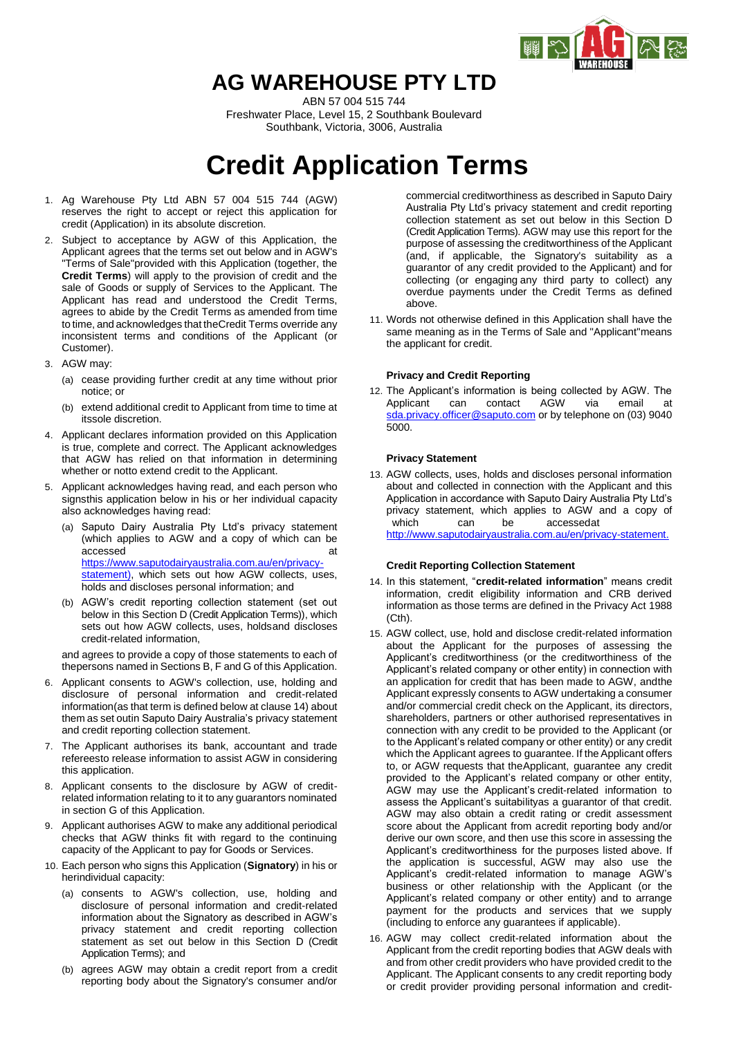

## **AG WAREHOUSE PTY LTD**

ABN 57 004 515 744 Freshwater Place, Level 15, 2 Southbank Boulevard Southbank, Victoria, 3006, Australia

# **Credit Application Terms**

- 1. Ag Warehouse Pty Ltd ABN 57 004 515 744 (AGW) reserves the right to accept or reject this application for credit (Application) in its absolute discretion.
- 2. Subject to acceptance by AGW of this Application, the Applicant agrees that the terms set out below and in AGW's "Terms of Sale"provided with this Application (together, the **Credit Terms**) will apply to the provision of credit and the sale of Goods or supply of Services to the Applicant. The Applicant has read and understood the Credit Terms, agrees to abide by the Credit Terms as amended from time to time, and acknowledges that theCredit Terms override any inconsistent terms and conditions of the Applicant (or Customer).
- 3. AGW may:
	- (a) cease providing further credit at any time without prior notice; or
	- (b) extend additional credit to Applicant from time to time at itssole discretion.
- <span id="page-0-1"></span>4. Applicant declares information provided on this Application is true, complete and correct. The Applicant acknowledges that AGW has relied on that information in determining whether or notto extend credit to the Applicant.
- 5. Applicant acknowledges having read, and each person who signsthis application below in his or her individual capacity also acknowledges having read:
	- (a) Saputo Dairy Australia Pty Ltd's privacy statement (which applies to AGW and a copy of which can be accessed at a structure at a structure at a structure at a structure at a structure at a structure at a structure at a structure at a structure at a structure at a structure at a structure at a structure at  $\alpha$ [https://www.saputodairyaustralia.com.au/en/privacy](https://www.saputodairyaustralia.com.au/en/privacy-statement))[statement\),](https://www.saputodairyaustralia.com.au/en/privacy-statement)) which sets out how AGW collects, uses. holds and discloses personal information; and
	- (b) AGW's credit reporting collection statement (set out below in this Section D (Credit Application Terms)), which sets out how AGW collects, uses, holdsand discloses credit-related information,

<span id="page-0-0"></span>and agrees to provide a copy of those statements to each of thepersons named in Sections B, F and G of this Application.

- 6. Applicant consents to AGW's collection, use, holding and disclosure of personal information and credit-related information(as that term is defined below at clause [14\)](#page-0-0) about them as set outin Saputo Dairy Australia's privacy statement and credit reporting collection statement.
- 7. The Applicant authorises its bank, accountant and trade refereesto release information to assist AGW in considering this application.
- 8. Applicant consents to the disclosure by AGW of creditrelated information relating to it to any guarantors nominated in section G of this Application.
- 9. Applicant authorises AGW to make any additional periodical checks that AGW thinks fit with regard to the continuing capacity of the Applicant to pay for Goods or Services.
- 10. Each person who signs this Application (**Signatory**) in his or herindividual capacity:
	- (a) consents to AGW's collection, use, holding and disclosure of personal information and credit-related information about the Signatory as described in AGW's privacy statement and credit reporting collection statement as set out below in this Section D (Credit Application Terms); and
	- (b) agrees AGW may obtain a credit report from a credit reporting body about the Signatory's consumer and/or

commercial creditworthiness as described in Saputo Dairy Australia Pty Ltd's privacy statement and credit reporting collection statement as set out below in this Section D (Credit Application Terms). AGW may use this report for the purpose of assessing the creditworthiness of the Applicant (and, if applicable, the Signatory's suitability as a guarantor of any credit provided to the Applicant) and for collecting (or engaging any third party to collect) any overdue payments under the Credit Terms as defined above.

11. Words not otherwise defined in this Application shall have the same meaning as in the Terms of Sale and "Applicant"means the applicant for credit.

### **Privacy and Credit Reporting**

12. The Applicant's information is being collected by AGW. The Applicant can contact AGW via email at Applicant can contact AGW via email at [sda.privacy.officer@saputo.com](mailto:sda.privacy.officer@saputo.com) or by telephone on (03) 9040 5000.

### **Privacy Statement**

13. AGW collects, uses, holds and discloses personal information about and collected in connection with the Applicant and this Application in accordance with Saputo Dairy Australia Pty Ltd's privacy statement, which applies to AGW and a copy of which can be accessedat

[http://www.saputodairyaustralia.com.au/en/privacy-statement.](http://www.saputodairyaustralia.com.au/en/privacy-statement)

### **Credit Reporting Collection Statement**

- 14. In this statement, "**credit-related information**" means credit information, credit eligibility information and CRB derived information as those terms are defined in the Privacy Act 1988 (Cth).
- 15. AGW collect, use, hold and disclose credit-related information about the Applicant for the purposes of assessing the Applicant's creditworthiness (or the creditworthiness of the Applicant's related company or other entity) in connection with an application for credit that has been made to AGW, andthe Applicant expressly consents to AGW undertaking a consumer and/or commercial credit check on the Applicant, its directors, shareholders, partners or other authorised representatives in connection with any credit to be provided to the Applicant (or to the Applicant's related company or other entity) or any credit which the Applicant agrees to guarantee. If the Applicant offers to, or AGW requests that theApplicant, guarantee any credit provided to the Applicant's related company or other entity, AGW may use the Applicant's credit-related information to assess the Applicant's suitabilityas a guarantor of that credit. AGW may also obtain a credit rating or credit assessment score about the Applicant from acredit reporting body and/or derive our own score, and then use this score in assessing the Applicant's creditworthiness for the purposes listed above. If the application is successful, AGW may also use the Applicant's credit-related information to manage AGW's business or other relationship with the Applicant (or the Applicant's related company or other entity) and to arrange payment for the products and services that we supply (including to enforce any guarantees if applicable).
- 16. AGW may collect credit-related information about the Applicant from the credit reporting bodies that AGW deals with and from other credit providers who have provided credit to the Applicant. The Applicant consents to any credit reporting body or credit provider providing personal information and credit-